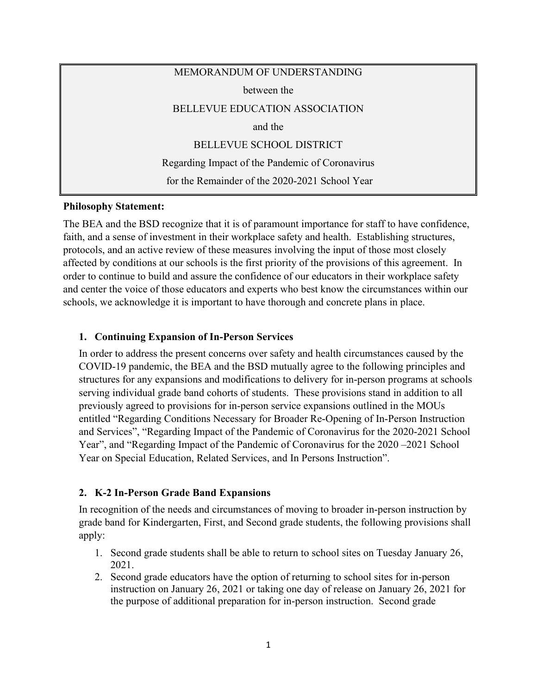# MEMORANDUM OF UNDERSTANDING between the BELLEVUE EDUCATION ASSOCIATION and the BELLEVUE SCHOOL DISTRICT Regarding Impact of the Pandemic of Coronavirus for the Remainder of the 2020-2021 School Year

#### **Philosophy Statement:**

The BEA and the BSD recognize that it is of paramount importance for staff to have confidence, faith, and a sense of investment in their workplace safety and health. Establishing structures, protocols, and an active review of these measures involving the input of those most closely affected by conditions at our schools is the first priority of the provisions of this agreement. In order to continue to build and assure the confidence of our educators in their workplace safety and center the voice of those educators and experts who best know the circumstances within our schools, we acknowledge it is important to have thorough and concrete plans in place.

## **1. Continuing Expansion of In-Person Services**

In order to address the present concerns over safety and health circumstances caused by the COVID-19 pandemic, the BEA and the BSD mutually agree to the following principles and structures for any expansions and modifications to delivery for in-person programs at schools serving individual grade band cohorts of students. These provisions stand in addition to all previously agreed to provisions for in-person service expansions outlined in the MOUs entitled "Regarding Conditions Necessary for Broader Re-Opening of In-Person Instruction and Services", "Regarding Impact of the Pandemic of Coronavirus for the 2020-2021 School Year", and "Regarding Impact of the Pandemic of Coronavirus for the 2020 –2021 School Year on Special Education, Related Services, and In Persons Instruction".

## **2. K-2 In-Person Grade Band Expansions**

In recognition of the needs and circumstances of moving to broader in-person instruction by grade band for Kindergarten, First, and Second grade students, the following provisions shall apply:

- 1. Second grade students shall be able to return to school sites on Tuesday January 26, 2021.
- 2. Second grade educators have the option of returning to school sites for in-person instruction on January 26, 2021 or taking one day of release on January 26, 2021 for the purpose of additional preparation for in-person instruction. Second grade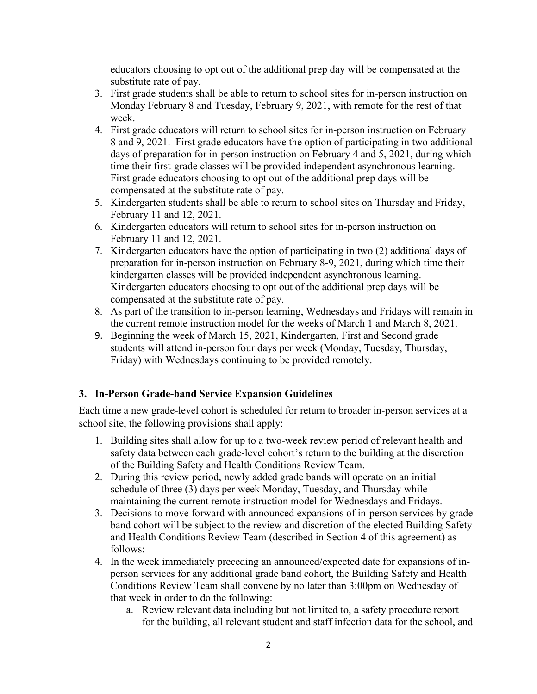educators choosing to opt out of the additional prep day will be compensated at the substitute rate of pay.

- 3. First grade students shall be able to return to school sites for in-person instruction on Monday February 8 and Tuesday, February 9, 2021, with remote for the rest of that week.
- 4. First grade educators will return to school sites for in-person instruction on February 8 and 9, 2021. First grade educators have the option of participating in two additional days of preparation for in-person instruction on February 4 and 5, 2021, during which time their first-grade classes will be provided independent asynchronous learning. First grade educators choosing to opt out of the additional prep days will be compensated at the substitute rate of pay.
- 5. Kindergarten students shall be able to return to school sites on Thursday and Friday, February 11 and 12, 2021.
- 6. Kindergarten educators will return to school sites for in-person instruction on February 11 and 12, 2021.
- 7. Kindergarten educators have the option of participating in two (2) additional days of preparation for in-person instruction on February 8-9, 2021, during which time their kindergarten classes will be provided independent asynchronous learning. Kindergarten educators choosing to opt out of the additional prep days will be compensated at the substitute rate of pay.
- 8. As part of the transition to in-person learning, Wednesdays and Fridays will remain in the current remote instruction model for the weeks of March 1 and March 8, 2021.
- 9. Beginning the week of March 15, 2021, Kindergarten, First and Second grade students will attend in-person four days per week (Monday, Tuesday, Thursday, Friday) with Wednesdays continuing to be provided remotely.

# **3. In-Person Grade-band Service Expansion Guidelines**

Each time a new grade-level cohort is scheduled for return to broader in-person services at a school site, the following provisions shall apply:

- 1. Building sites shall allow for up to a two-week review period of relevant health and safety data between each grade-level cohort's return to the building at the discretion of the Building Safety and Health Conditions Review Team.
- 2. During this review period, newly added grade bands will operate on an initial schedule of three (3) days per week Monday, Tuesday, and Thursday while maintaining the current remote instruction model for Wednesdays and Fridays.
- 3. Decisions to move forward with announced expansions of in-person services by grade band cohort will be subject to the review and discretion of the elected Building Safety and Health Conditions Review Team (described in Section 4 of this agreement) as follows:
- 4. In the week immediately preceding an announced/expected date for expansions of inperson services for any additional grade band cohort, the Building Safety and Health Conditions Review Team shall convene by no later than 3:00pm on Wednesday of that week in order to do the following:
	- a. Review relevant data including but not limited to, a safety procedure report for the building, all relevant student and staff infection data for the school, and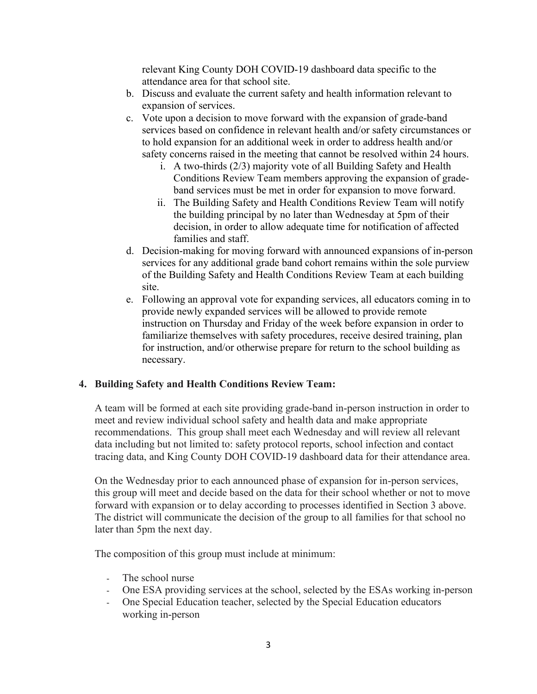relevant King County DOH COVID-19 dashboard data specific to the attendance area for that school site.

- b. Discuss and evaluate the current safety and health information relevant to expansion of services.
- c. Vote upon a decision to move forward with the expansion of grade-band services based on confidence in relevant health and/or safety circumstances or to hold expansion for an additional week in order to address health and/or safety concerns raised in the meeting that cannot be resolved within 24 hours.
	- i. A two-thirds (2/3) majority vote of all Building Safety and Health Conditions Review Team members approving the expansion of gradeband services must be met in order for expansion to move forward.
	- ii. The Building Safety and Health Conditions Review Team will notify the building principal by no later than Wednesday at 5pm of their decision, in order to allow adequate time for notification of affected families and staff.
- d. Decision-making for moving forward with announced expansions of in-person services for any additional grade band cohort remains within the sole purview of the Building Safety and Health Conditions Review Team at each building site.
- e. Following an approval vote for expanding services, all educators coming in to provide newly expanded services will be allowed to provide remote instruction on Thursday and Friday of the week before expansion in order to familiarize themselves with safety procedures, receive desired training, plan for instruction, and/or otherwise prepare for return to the school building as necessary.

## **4. Building Safety and Health Conditions Review Team:**

A team will be formed at each site providing grade-band in-person instruction in order to meet and review individual school safety and health data and make appropriate recommendations. This group shall meet each Wednesday and will review all relevant data including but not limited to: safety protocol reports, school infection and contact tracing data, and King County DOH COVID-19 dashboard data for their attendance area.

On the Wednesday prior to each announced phase of expansion for in-person services, this group will meet and decide based on the data for their school whether or not to move forward with expansion or to delay according to processes identified in Section 3 above. The district will communicate the decision of the group to all families for that school no later than 5pm the next day.

The composition of this group must include at minimum:

- The school nurse
- One ESA providing services at the school, selected by the ESAs working in-person
- One Special Education teacher, selected by the Special Education educators working in-person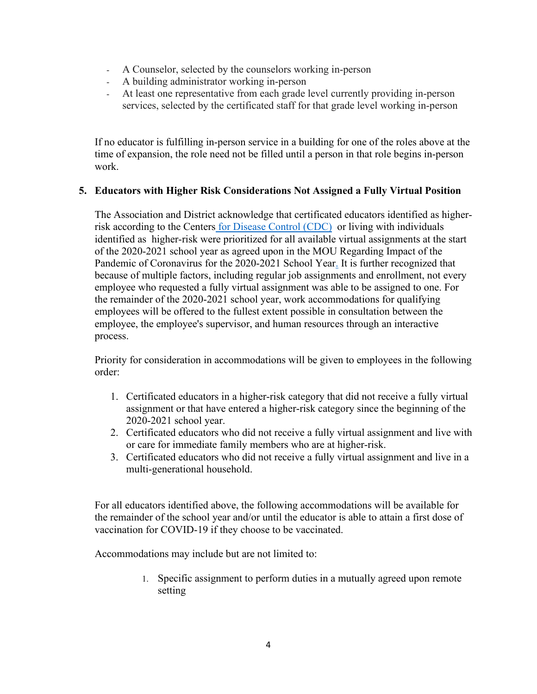- A Counselor, selected by the counselors working in-person
- A building administrator working in-person
- At least one representative from each grade level currently providing in-person services, selected by the certificated staff for that grade level working in-person

If no educator is fulfilling in-person service in a building for one of the roles above at the time of expansion, the role need not be filled until a person in that role begins in-person work.

#### **5. Educators with Higher Risk Considerations Not Assigned a Fully Virtual Position**

The Association and District acknowledge that certificated educators identified as higherrisk according to the Centers [for Disease Control \(CDC\)](https://www.cdc.gov/coronavirus/2019-ncov/need-extra-precautions/people-with-medical-conditions.html) or living with individuals identified as higher-risk were prioritized for all available virtual assignments at the start of the 2020-2021 school year [as agreed upon in the MOU Regarding Impact of the](https://bsd405.org/wp-content/pdf/cba/certificated-staff-mou-coronavirus-2020-2021-school-year.pdf)  [Pandemic of Coronavirus for the 2020-2021 School Year.](https://bsd405.org/wp-content/pdf/cba/certificated-staff-mou-coronavirus-2020-2021-school-year.pdf) It is further recognized that because of multiple factors, including regular job assignments and enrollment, not every employee who requested a fully virtual assignment was able to be assigned to one. For the remainder of the 2020-2021 school year, work accommodations for qualifying employees will be offered to the fullest extent possible in consultation between the employee, the employee's supervisor, and human resources through an interactive process.

Priority for consideration in accommodations will be given to employees in the following order:

- 1. Certificated educators in a higher-risk category that did not receive a fully virtual assignment or that have entered a higher-risk category since the beginning of the 2020-2021 school year.
- 2. Certificated educators who did not receive a fully virtual assignment and live with or care for immediate family members who are at higher-risk.
- 3. Certificated educators who did not receive a fully virtual assignment and live in a multi-generational household.

For all educators identified above, the following accommodations will be available for the remainder of the school year and/or until the educator is able to attain a first dose of vaccination for COVID-19 if they choose to be vaccinated.

Accommodations may include but are not limited to:

1. Specific assignment to perform duties in a mutually agreed upon remote setting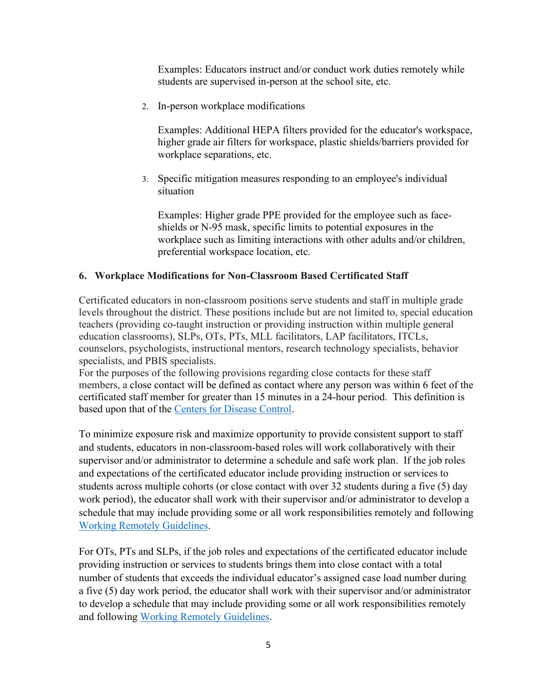Examples: Educators instruct and/or conduct work duties remotely while students are supervised in-person at the school site, etc.

2. In-person workplace modifications

Examples: Additional HEPA filters provided for the educator's workspace, higher grade air filters for workspace, plastic shields/barriers provided for workplace separations, etc.

3. Specific mitigation measures responding to an employee's individual situation

Examples: Higher grade PPE provided for the employee such as faceshields or N-95 mask, specific limits to potential exposures in the workplace such as limiting interactions with other adults and/or children, preferential workspace location, etc.

#### **6. Workplace Modifications for Non-Classroom Based Certificated Staff**

Certificated educators in non-classroom positions serve students and staff in multiple grade levels throughout the district. These positions include but are not limited to, special education teachers (providing co-taught instruction or providing instruction within multiple general education classrooms), SLPs, OTs, PTs, MLL facilitators, LAP facilitators, ITCLs, counselors, psychologists, instructional mentors, research technology specialists, behavior specialists, and PBIS specialists.

For the purposes of the following provisions regarding close contacts for these staff members, a close contact will be defined as contact where any person was within 6 feet of the certificated staff member for greater than 15 minutes in a 24-hour period. This definition is based upon that of the [Centers for Disease Control.](https://www.cdc.gov/coronavirus/2019-ncov/global-covid-19/operational-considerations-contact-tracing.html#:%7E:text=Close%20contact%20is%20defined%20by,the%20patient%20is%20isolated)

To minimize exposure risk and maximize opportunity to provide consistent support to staff and students, educators in non-classroom-based roles will work collaboratively with their supervisor and/or administrator to determine a schedule and safe work plan. If the job roles and expectations of the certificated educator include providing instruction or services to students across multiple cohorts (or close contact with over 32 students during a five (5) day work period), the educator shall work with their supervisor and/or administrator to develop a schedule that may include providing some or all work responsibilities remotely and following [Working Remotely Guidelines.](https://bsd405.org/departments/hr/covid-19-staff-resources/working-remotely/)

For OTs, PTs and SLPs, if the job roles and expectations of the certificated educator include providing instruction or services to students brings them into close contact with a total number of students that exceeds the individual educator's assigned case load number during a five (5) day work period, the educator shall work with their supervisor and/or administrator to develop a schedule that may include providing some or all work responsibilities remotely and following [Working Remotely Guidelines.](https://bsd405.org/departments/hr/covid-19-staff-resources/working-remotely/)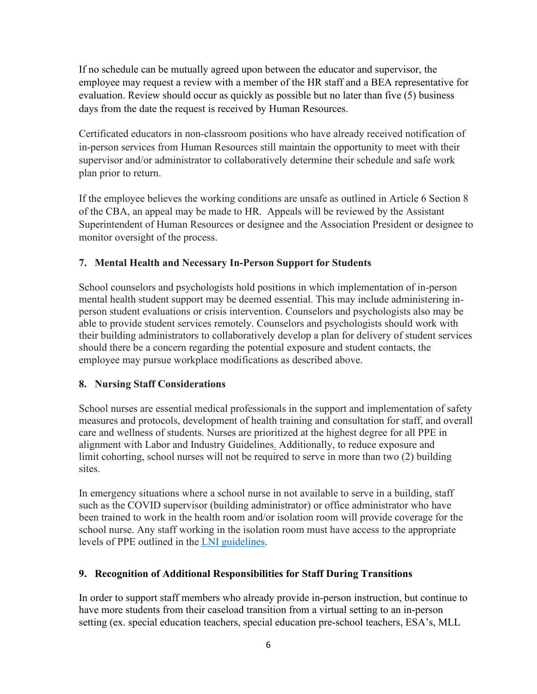If no schedule can be mutually agreed upon between the educator and supervisor, the employee may request a review with a member of the HR staff and a BEA representative for evaluation. Review should occur as quickly as possible but no later than five (5) business days from the date the request is received by Human Resources.

Certificated educators in non-classroom positions who have already received notification of in-person services from Human Resources still maintain the opportunity to meet with their supervisor and/or administrator to collaboratively determine their schedule and safe work plan prior to return.

If the employee believes the working conditions are unsafe as outlined in Article 6 Section 8 of the CBA, an appeal may be made to HR. Appeals will be reviewed by the Assistant Superintendent of Human Resources or designee and the Association President or designee to monitor oversight of the process.

## **7. Mental Health and Necessary In-Person Support for Students**

School counselors and psychologists hold positions in which implementation of in-person mental health student support may be deemed essential. This may include administering inperson student evaluations or crisis intervention. Counselors and psychologists also may be able to provide student services remotely. Counselors and psychologists should work with their building administrators to collaboratively develop a plan for delivery of student services should there be a concern regarding the potential exposure and student contacts, the employee may pursue workplace modifications as described above.

## **8. Nursing Staff Considerations**

School nurses are essential medical professionals in the support and implementation of safety measures and protocols, development of health training and consultation for staff, and overall care and wellness of students. Nurses are prioritized at the highest degree for all PPE in alignment with [Labor and Industry Guidelines.](https://www.k12.wa.us/sites/default/files/public/communications/Employer-Health-and-Safety-Requirements-for-School-Scenarios.pdf) Additionally, to reduce exposure and limit cohorting, school nurses will not be required to serve in more than two (2) building sites.

In emergency situations where a school nurse in not available to serve in a building, staff such as the COVID supervisor (building administrator) or office administrator who have been trained to work in the health room and/or isolation room will provide coverage for the school nurse. Any staff working in the isolation room must have access to the appropriate levels of PPE outlined in the [LNI guidelines.](https://www.lni.wa.gov/forms-publications/F414-168-000.pdf)

## **9. Recognition of Additional Responsibilities for Staff During Transitions**

In order to support staff members who already provide in-person instruction, but continue to have more students from their caseload transition from a virtual setting to an in-person setting (ex. special education teachers, special education pre-school teachers, ESA's, MLL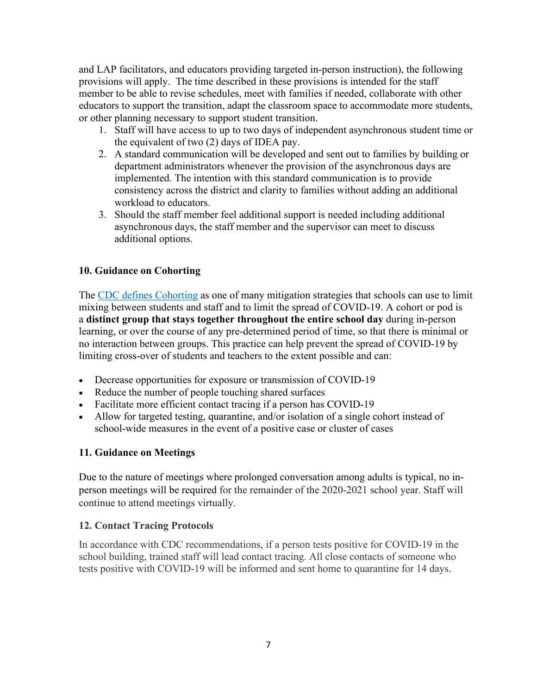and LAP facilitators, and educators providing targeted in-person instruction), the following provisions will apply. The time described in these provisions is intended for the staff member to be able to revise schedules, meet with families if needed, collaborate with other educators to support the transition, adapt the classroom space to accommodate more students, or other planning necessary to support student transition.

- 1. Staff will have access to up to two days of independent asynchronous student time or the equivalent of two (2) days of IDEA pay.
- 2. A standard communication will be developed and sent out to families by building or department administrators whenever the provision of the asynchronous days are implemented. The intention with this standard communication is to provide consistency across the district and clarity to families without adding an additional workload to educators.
- 3. Should the staff member feel additional support is needed including additional asynchronous days, the staff member and the supervisor can meet to discuss additional options.

## **10. Guidance on Cohorting**

The [CDC defines Cohorting](https://www.cdc.gov/coronavirus/2019-ncov/community/schools-childcare/schools-faq.html) as one of many mitigation strategies that schools can use to limit mixing between students and staff and to limit the spread of COVID-19. A cohort or pod is a **distinct group that stays together throughout the entire school day** during in-person learning, or over the course of any pre-determined period of time, so that there is minimal or no interaction between groups. This practice can help prevent the spread of COVID-19 by limiting cross-over of students and teachers to the extent possible and can:

- Decrease opportunities for exposure or transmission of COVID-19
- Reduce the number of people touching shared surfaces
- Facilitate more efficient contact tracing if a person has COVID-19
- Allow for targeted testing, quarantine, and/or isolation of a single cohort instead of school-wide measures in the event of a positive case or cluster of cases

# **11. Guidance on Meetings**

Due to the nature of meetings where prolonged conversation among adults is typical, no inperson meetings will be required for the remainder of the 2020-2021 school year. Staff will continue to attend meetings virtually.

## **12. Contact Tracing Protocols**

In accordance with CDC recommendations, if a person tests positive for COVID-19 in the school building, trained staff will lead contact tracing. All close contacts of someone who tests positive with COVID-19 will be informed and sent home to quarantine for 14 days.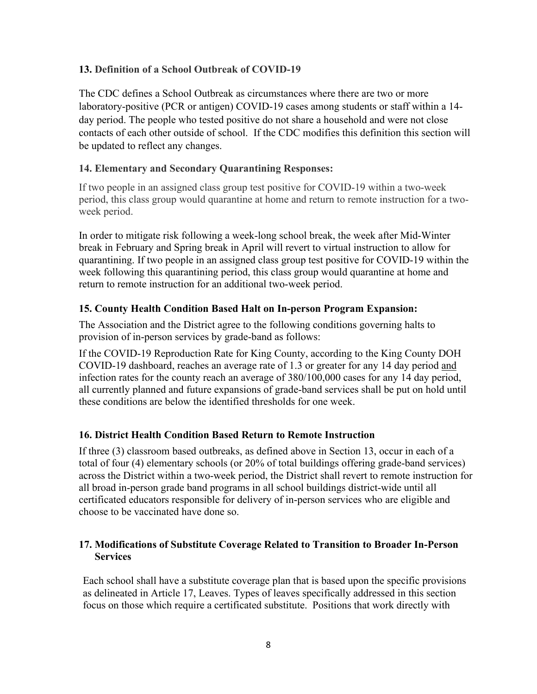#### **13. Definition of a School Outbreak of COVID-19**

The CDC defines a School Outbreak as circumstances where there are two or more laboratory-positive (PCR or antigen) COVID-19 cases among students or staff within a 14 day period. The people who tested positive do not share a household and were not close contacts of each other outside of school. If the CDC modifies this definition this section will be updated to reflect any changes.

#### **14. Elementary and Secondary Quarantining Responses:**

If two people in an assigned class group test positive for COVID-19 within a two-week period, this class group would quarantine at home and return to remote instruction for a twoweek period.

In order to mitigate risk following a week-long school break, the week after Mid-Winter break in February and Spring break in April will revert to virtual instruction to allow for quarantining. If two people in an assigned class group test positive for COVID-19 within the week following this quarantining period, this class group would quarantine at home and return to remote instruction for an additional two-week period.

#### **15. County Health Condition Based Halt on In-person Program Expansion:**

The Association and the District agree to the following conditions governing halts to provision of in-person services by grade-band as follows:

If the COVID-19 Reproduction Rate for King County, according to the King County DOH COVID-19 dashboard, reaches an average rate of 1.3 or greater for any 14 day period and infection rates for the county reach an average of 380/100,000 cases for any 14 day period, all currently planned and future expansions of grade-band services shall be put on hold until these conditions are below the identified thresholds for one week.

## **16. District Health Condition Based Return to Remote Instruction**

If three (3) classroom based outbreaks, as defined above in Section 13, occur in each of a total of four (4) elementary schools (or 20% of total buildings offering grade-band services) across the District within a two-week period, the District shall revert to remote instruction for all broad in-person grade band programs in all school buildings district-wide until all certificated educators responsible for delivery of in-person services who are eligible and choose to be vaccinated have done so.

## **17. Modifications of Substitute Coverage Related to Transition to Broader In-Person Services**

Each school shall have a substitute coverage plan that is based upon the specific provisions as delineated in Article 17, Leaves. Types of leaves specifically addressed in this section focus on those which require a certificated substitute. Positions that work directly with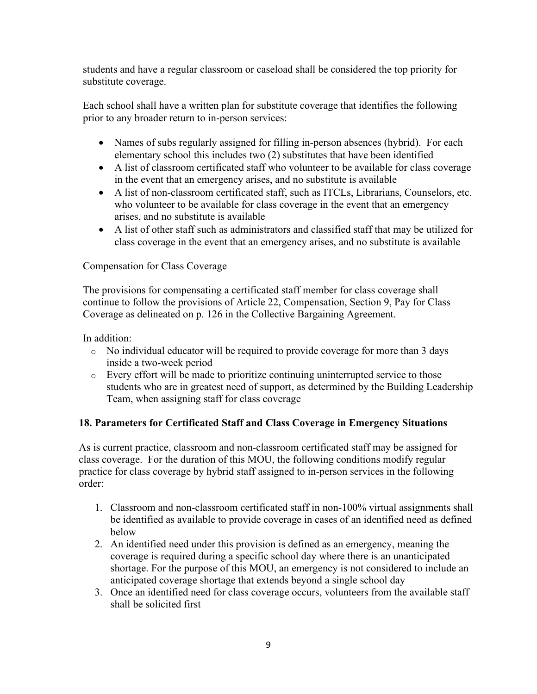students and have a regular classroom or caseload shall be considered the top priority for substitute coverage.

Each school shall have a written plan for substitute coverage that identifies the following prior to any broader return to in-person services:

- Names of subs regularly assigned for filling in-person absences (hybrid). For each elementary school this includes two (2) substitutes that have been identified
- A list of classroom certificated staff who volunteer to be available for class coverage in the event that an emergency arises, and no substitute is available
- A list of non-classroom certificated staff, such as ITCLs, Librarians, Counselors, etc. who volunteer to be available for class coverage in the event that an emergency arises, and no substitute is available
- A list of other staff such as administrators and classified staff that may be utilized for class coverage in the event that an emergency arises, and no substitute is available

## Compensation for Class Coverage

The provisions for compensating a certificated staff member for class coverage shall continue to follow the provisions of Article 22, Compensation, Section 9, Pay for Class Coverage as delineated on p. 126 in the Collective Bargaining Agreement.

In addition:

- o No individual educator will be required to provide coverage for more than 3 days inside a two-week period
- o Every effort will be made to prioritize continuing uninterrupted service to those students who are in greatest need of support, as determined by the Building Leadership Team, when assigning staff for class coverage

## **18. Parameters for Certificated Staff and Class Coverage in Emergency Situations**

As is current practice, classroom and non-classroom certificated staff may be assigned for class coverage. For the duration of this MOU, the following conditions modify regular practice for class coverage by hybrid staff assigned to in-person services in the following order:

- 1. Classroom and non-classroom certificated staff in non-100% virtual assignments shall be identified as available to provide coverage in cases of an identified need as defined below
- 2. An identified need under this provision is defined as an emergency, meaning the coverage is required during a specific school day where there is an unanticipated shortage. For the purpose of this MOU, an emergency is not considered to include an anticipated coverage shortage that extends beyond a single school day
- 3. Once an identified need for class coverage occurs, volunteers from the available staff shall be solicited first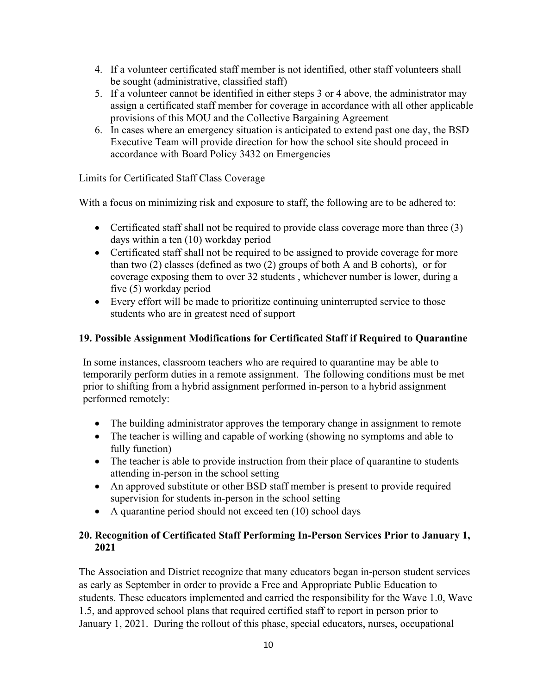- 4. If a volunteer certificated staff member is not identified, other staff volunteers shall be sought (administrative, classified staff)
- 5. If a volunteer cannot be identified in either steps 3 or 4 above, the administrator may assign a certificated staff member for coverage in accordance with all other applicable provisions of this MOU and the Collective Bargaining Agreement
- 6. In cases where an emergency situation is anticipated to extend past one day, the BSD Executive Team will provide direction for how the school site should proceed in accordance with Board Policy 3432 on Emergencies

Limits for Certificated Staff Class Coverage

With a focus on minimizing risk and exposure to staff, the following are to be adhered to:

- Certificated staff shall not be required to provide class coverage more than three (3) days within a ten (10) workday period
- Certificated staff shall not be required to be assigned to provide coverage for more than two (2) classes (defined as two (2) groups of both A and B cohorts), or for coverage exposing them to over 32 students , whichever number is lower, during a five (5) workday period
- Every effort will be made to prioritize continuing uninterrupted service to those students who are in greatest need of support

# **19. Possible Assignment Modifications for Certificated Staff if Required to Quarantine**

In some instances, classroom teachers who are required to quarantine may be able to temporarily perform duties in a remote assignment. The following conditions must be met prior to shifting from a hybrid assignment performed in-person to a hybrid assignment performed remotely:

- The building administrator approves the temporary change in assignment to remote
- The teacher is willing and capable of working (showing no symptoms and able to fully function)
- The teacher is able to provide instruction from their place of quarantine to students attending in-person in the school setting
- An approved substitute or other BSD staff member is present to provide required supervision for students in-person in the school setting
- A quarantine period should not exceed ten (10) school days

## **20. Recognition of Certificated Staff Performing In-Person Services Prior to January 1, 2021**

The Association and District recognize that many educators began in-person student services as early as September in order to provide a Free and Appropriate Public Education to students. These educators implemented and carried the responsibility for the Wave 1.0, Wave 1.5, and approved school plans that required certified staff to report in person prior to January 1, 2021. During the rollout of this phase, special educators, nurses, occupational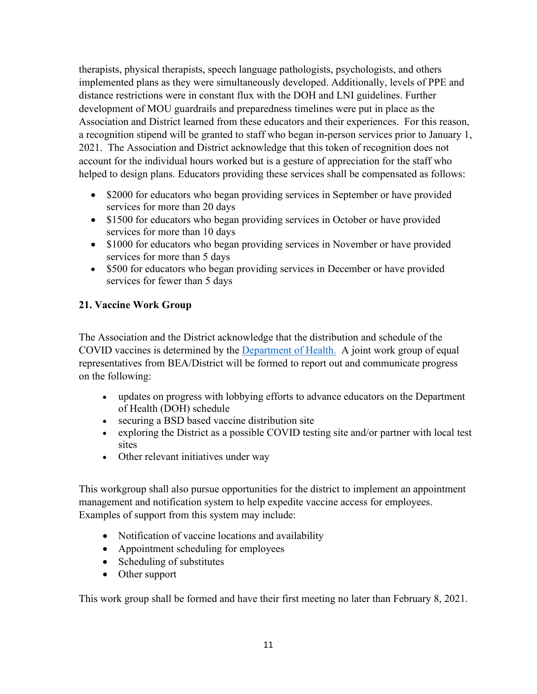therapists, physical therapists, speech language pathologists, psychologists, and others implemented plans as they were simultaneously developed. Additionally, levels of PPE and distance restrictions were in constant flux with the DOH and LNI guidelines. Further development of MOU guardrails and preparedness timelines were put in place as the Association and District learned from these educators and their experiences. For this reason, a recognition stipend will be granted to staff who began in-person services prior to January 1, 2021. The Association and District acknowledge that this token of recognition does not account for the individual hours worked but is a gesture of appreciation for the staff who helped to design plans. Educators providing these services shall be compensated as follows:

- \$2000 for educators who began providing services in September or have provided services for more than 20 days
- \$1500 for educators who began providing services in October or have provided services for more than 10 days
- \$1000 for educators who began providing services in November or have provided services for more than 5 days
- \$500 for educators who began providing services in December or have provided services for fewer than 5 days

# **21. Vaccine Work Group**

The Association and the District acknowledge that the distribution and schedule of the COVID vaccines is determined by the [Department of Health.](https://www.doh.wa.gov/Portals/1/Documents/1600/coronavirus/VaccinationPhasesInfographic.pdf) A joint work group of equal representatives from BEA/District will be formed to report out and communicate progress on the following:

- updates on progress with lobbying efforts to advance educators on the Department of Health (DOH) schedule
- securing a BSD based vaccine distribution site
- exploring the District as a possible COVID testing site and/or partner with local test sites
- Other relevant initiatives under way

This workgroup shall also pursue opportunities for the district to implement an appointment management and notification system to help expedite vaccine access for employees. Examples of support from this system may include:

- Notification of vaccine locations and availability
- Appointment scheduling for employees
- Scheduling of substitutes
- Other support

This work group shall be formed and have their first meeting no later than February 8, 2021.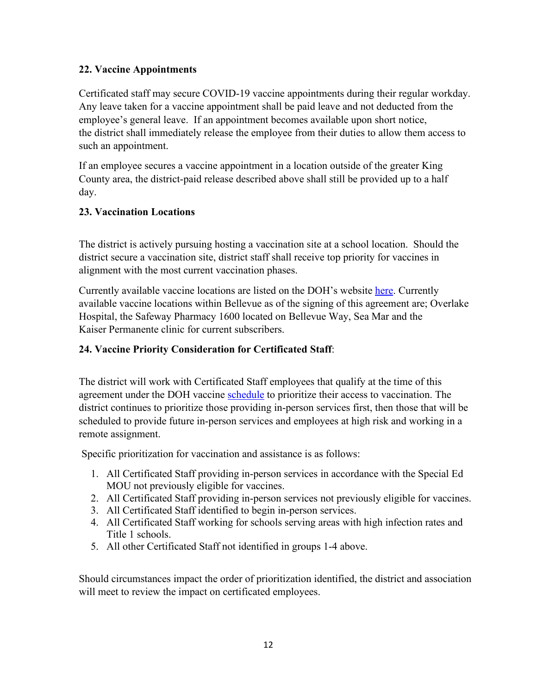## **22. Vaccine Appointments**

Certificated staff may secure COVID-19 vaccine appointments during their regular workday. Any leave taken for a vaccine appointment shall be paid leave and not deducted from the employee's general leave. If an appointment becomes available upon short notice, the district shall immediately release the employee from their duties to allow them access to such an appointment.

If an employee secures a vaccine appointment in a location outside of the greater King County area, the district-paid release described above shall still be provided up to a half day.

# **23. Vaccination Locations**

The district is actively pursuing hosting a vaccination site at a school location. Should the district secure a vaccination site, district staff shall receive top priority for vaccines in alignment with the most current vaccination phases.

Currently available vaccine locations are listed on the DOH's website [here.](https://www.doh.wa.gov/YouandYourFamily/Immunization/VaccineLocations) Currently available vaccine locations within Bellevue as of the signing of this agreement are; Overlake Hospital, the Safeway Pharmacy 1600 located on Bellevue Way, Sea Mar and the Kaiser Permanente clinic for current subscribers.

## **24. Vaccine Priority Consideration for Certificated Staff**:

The district will work with Certificated Staff employees that qualify at the time of this agreement under the DOH vaccine [schedule](https://www.doh.wa.gov/Portals/1/Documents/1600/coronavirus/VaccinationPhasesInfographic.pdf) to prioritize their access to vaccination. The district continues to prioritize those providing in-person services first, then those that will be scheduled to provide future in-person services and employees at high risk and working in a remote assignment.

Specific prioritization for vaccination and assistance is as follows:

- 1. All Certificated Staff providing in-person services in accordance with the Special Ed MOU not previously eligible for vaccines.
- 2. All Certificated Staff providing in-person services not previously eligible for vaccines.
- 3. All Certificated Staff identified to begin in-person services.
- 4. All Certificated Staff working for schools serving areas with high infection rates and Title 1 schools.
- 5. All other Certificated Staff not identified in groups 1-4 above.

Should circumstances impact the order of prioritization identified, the district and association will meet to review the impact on certificated employees.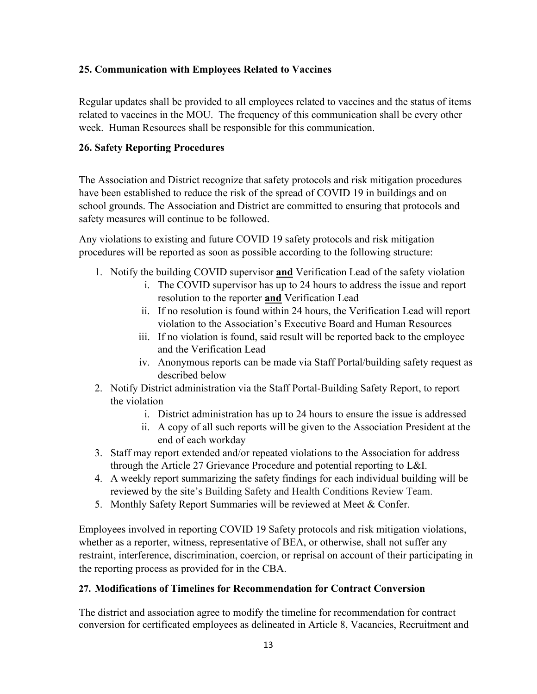# **25. Communication with Employees Related to Vaccines**

Regular updates shall be provided to all employees related to vaccines and the status of items related to vaccines in the MOU. The frequency of this communication shall be every other week. Human Resources shall be responsible for this communication.

## **26. Safety Reporting Procedures**

The Association and District recognize that safety protocols and risk mitigation procedures have been established to reduce the risk of the spread of COVID 19 in buildings and on school grounds. The Association and District are committed to ensuring that protocols and safety measures will continue to be followed.

Any violations to existing and future COVID 19 safety protocols and risk mitigation procedures will be reported as soon as possible according to the following structure:

- 1. Notify the building COVID supervisor **and** Verification Lead of the safety violation
	- i. The COVID supervisor has up to 24 hours to address the issue and report resolution to the reporter **and** Verification Lead
	- ii. If no resolution is found within 24 hours, the Verification Lead will report violation to the Association's Executive Board and Human Resources
	- iii. If no violation is found, said result will be reported back to the employee and the Verification Lead
	- iv. Anonymous reports can be made via Staff Portal/building safety request as described below
- 2. Notify District administration via the Staff Portal-Building Safety Report, to report the violation
	- i. District administration has up to 24 hours to ensure the issue is addressed
	- ii. A copy of all such reports will be given to the Association President at the end of each workday
- 3. Staff may report extended and/or repeated violations to the Association for address through the Article 27 Grievance Procedure and potential reporting to L&I.
- 4. A weekly report summarizing the safety findings for each individual building will be reviewed by the site's Building Safety and Health Conditions Review Team.
- 5. Monthly Safety Report Summaries will be reviewed at Meet & Confer.

Employees involved in reporting COVID 19 Safety protocols and risk mitigation violations, whether as a reporter, witness, representative of BEA, or otherwise, shall not suffer any restraint, interference, discrimination, coercion, or reprisal on account of their participating in the reporting process as provided for in the CBA.

## **27. Modifications of Timelines for Recommendation for Contract Conversion**

The district and association agree to modify the timeline for recommendation for contract conversion for certificated employees as delineated in Article 8, Vacancies, Recruitment and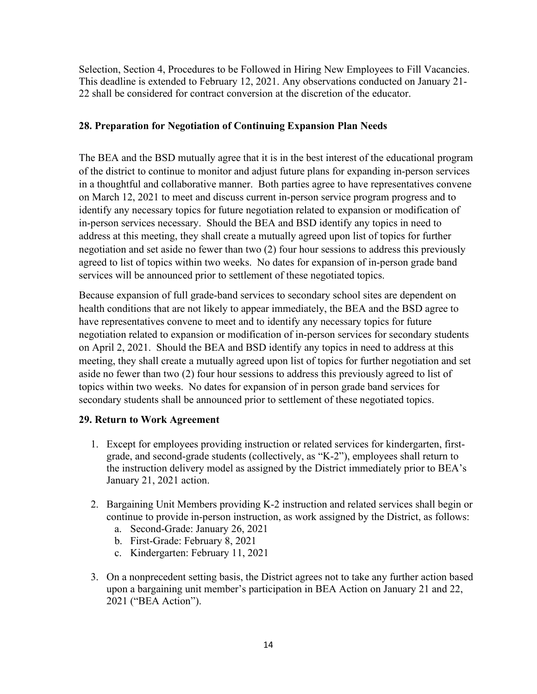Selection, Section 4, Procedures to be Followed in Hiring New Employees to Fill Vacancies. This deadline is extended to February 12, 2021. Any observations conducted on January 21- 22 shall be considered for contract conversion at the discretion of the educator.

## **28. Preparation for Negotiation of Continuing Expansion Plan Needs**

The BEA and the BSD mutually agree that it is in the best interest of the educational program of the district to continue to monitor and adjust future plans for expanding in-person services in a thoughtful and collaborative manner. Both parties agree to have representatives convene on March 12, 2021 to meet and discuss current in-person service program progress and to identify any necessary topics for future negotiation related to expansion or modification of in-person services necessary. Should the BEA and BSD identify any topics in need to address at this meeting, they shall create a mutually agreed upon list of topics for further negotiation and set aside no fewer than two (2) four hour sessions to address this previously agreed to list of topics within two weeks. No dates for expansion of in-person grade band services will be announced prior to settlement of these negotiated topics.

Because expansion of full grade-band services to secondary school sites are dependent on health conditions that are not likely to appear immediately, the BEA and the BSD agree to have representatives convene to meet and to identify any necessary topics for future negotiation related to expansion or modification of in-person services for secondary students on April 2, 2021. Should the BEA and BSD identify any topics in need to address at this meeting, they shall create a mutually agreed upon list of topics for further negotiation and set aside no fewer than two (2) four hour sessions to address this previously agreed to list of topics within two weeks. No dates for expansion of in person grade band services for secondary students shall be announced prior to settlement of these negotiated topics.

## **29. Return to Work Agreement**

- 1. Except for employees providing instruction or related services for kindergarten, firstgrade, and second-grade students (collectively, as "K-2"), employees shall return to the instruction delivery model as assigned by the District immediately prior to BEA's January 21, 2021 action.
- 2. Bargaining Unit Members providing K-2 instruction and related services shall begin or continue to provide in-person instruction, as work assigned by the District, as follows:
	- a. Second-Grade: January 26, 2021
	- b. First-Grade: February 8, 2021
	- c. Kindergarten: February 11, 2021
- 3. On a nonprecedent setting basis, the District agrees not to take any further action based upon a bargaining unit member's participation in BEA Action on January 21 and 22, 2021 ("BEA Action").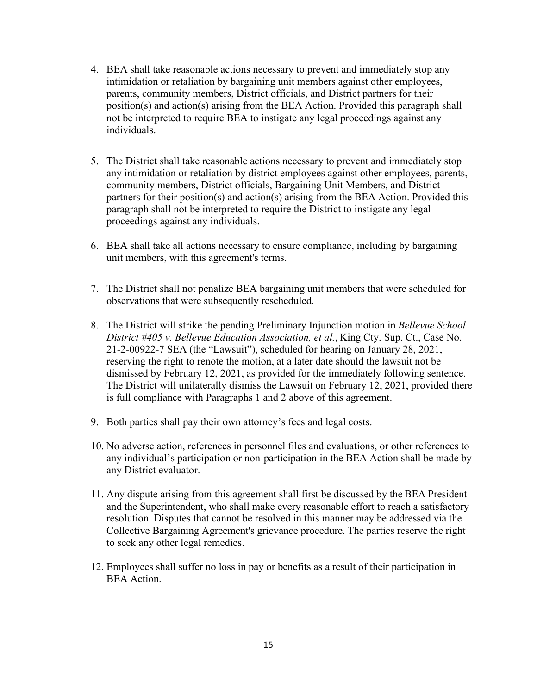- 4. BEA shall take reasonable actions necessary to prevent and immediately stop any intimidation or retaliation by bargaining unit members against other employees, parents, community members, District officials, and District partners for their position(s) and action(s) arising from the BEA Action. Provided this paragraph shall not be interpreted to require BEA to instigate any legal proceedings against any individuals.
- 5. The District shall take reasonable actions necessary to prevent and immediately stop any intimidation or retaliation by district employees against other employees, parents, community members, District officials, Bargaining Unit Members, and District partners for their position(s) and action(s) arising from the BEA Action. Provided this paragraph shall not be interpreted to require the District to instigate any legal proceedings against any individuals.
- 6. BEA shall take all actions necessary to ensure compliance, including by bargaining unit members, with this agreement's terms.
- 7. The District shall not penalize BEA bargaining unit members that were scheduled for observations that were subsequently rescheduled.
- 8. The District will strike the pending Preliminary Injunction motion in *Bellevue School District #405 v. Bellevue Education Association, et al.,* King Cty. Sup. Ct., Case No. 21-2-00922-7 SEA (the "Lawsuit"), scheduled for hearing on January 28, 2021, reserving the right to renote the motion, at a later date should the lawsuit not be dismissed by February 12, 2021, as provided for the immediately following sentence. The District will unilaterally dismiss the Lawsuit on February 12, 2021, provided there is full compliance with Paragraphs 1 and 2 above of this agreement.
- 9. Both parties shall pay their own attorney's fees and legal costs.
- 10. No adverse action, references in personnel files and evaluations, or other references to any individual's participation or non-participation in the BEA Action shall be made by any District evaluator.
- 11. Any dispute arising from this agreement shall first be discussed by the BEA President and the Superintendent, who shall make every reasonable effort to reach a satisfactory resolution. Disputes that cannot be resolved in this manner may be addressed via the Collective Bargaining Agreement's grievance procedure. The parties reserve the right to seek any other legal remedies.
- 12. Employees shall suffer no loss in pay or benefits as a result of their participation in BEA Action.